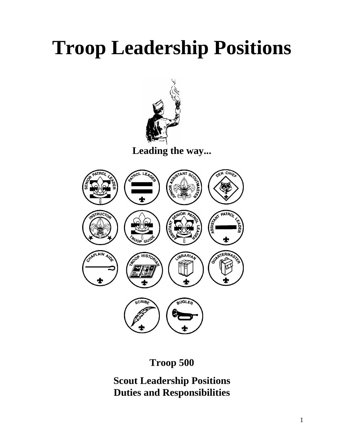# **Troop Leadership Positions**



**Leading the way...**



**Troop 500** 

**Scout Leadership Positions Duties and Responsibilities**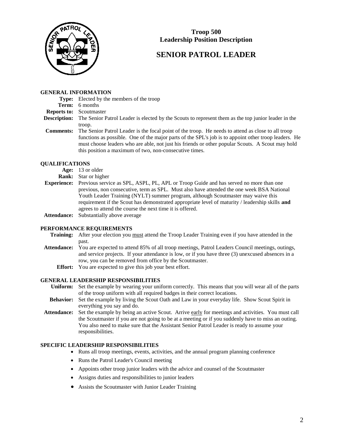

# **SENIOR PATROL LEADER**

#### **GENERAL INFORMATION**

**Type:** Elected by the members of the troop

**Term:** 6 months

**Reports to:** Scoutmaster

- **Description:** The Senior Patrol Leader is elected by the Scouts to represent them as the top junior leader in the troop.
- **Comments:** The Senior Patrol Leader is the focal point of the troop. He needs to attend as close to all troop functions as possible. One of the major parts of the SPL's job is to appoint other troop leaders. He must choose leaders who are able, not just his friends or other popular Scouts. A Scout may hold this position a maximum of two, non-consecutive times.

#### **QUALIFICATIONS**

- **Age:** 13 or older
- **Rank:** Star or higher
- **Experience:** Previous service as SPL, ASPL, PL, APL or Troop Guide and has served no more than one previous, non consecutive, term as SPL. Must also have attended the one week BSA National Youth Leader Training (NYLT) summer program, although Scoutmaster may waive this requirement if the Scout has demonstrated appropriate level of maturity / leadership skills **and** agrees to attend the course the next time it is offered.
- **Attendance:** Substantially above average

#### **PERFORMANCE REQUIREMENTS**

- **Training:** After your election you must attend the Troop Leader Training even if you have attended in the past.
- **Attendance:** You are expected to attend 85% of all troop meetings, Patrol Leaders Council meetings, outings, and service projects. If your attendance is low, or if you have three (3) unexcused absences in a row, you can be removed from office by the Scoutmaster.
	- **Effort:** You are expected to give this job your best effort.

#### **GENERAL LEADERSHIP RESPONSIBILITIES**

- **Uniform:** Set the example by wearing your uniform correctly. This means that you will wear all of the parts of the troop uniform with all required badges in their correct locations.
- **Behavior:** Set the example by living the Scout Oath and Law in your everyday life. Show Scout Spirit in everything you say and do.
- **Attendance:** Set the example by being an active Scout. Arrive early for meetings and activities. You must call the Scoutmaster if you are not going to be at a meeting or if you suddenly have to miss an outing. You also need to make sure that the Assistant Senior Patrol Leader is ready to assume your responsibilities.

- Runs all troop meetings, events, activities, and the annual program planning conference
- Runs the Patrol Leader's Council meeting
- Appoints other troop junior leaders with the advice and counsel of the Scoutmaster
- Assigns duties and responsibilities to junior leaders
- Assists the Scoutmaster with Junior Leader Training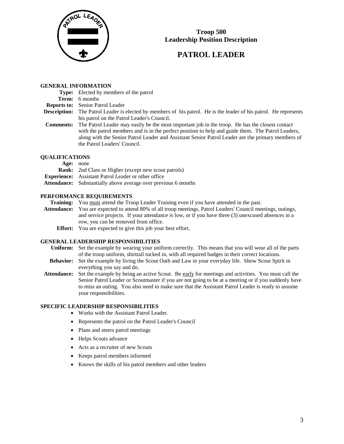

# **PATROL LEADER**

#### **GENERAL INFORMATION**

**Type:** Elected by members of the patrol

**Term:** 6 months

**Reports to:** Senior Patrol Leader

**Description:** The Patrol Leader is elected by members of his patrol. He is the leader of his patrol. He represents his patrol on the Patrol Leader's Council.

**Comments:** The Patrol Leader may easily be the most important job in the troop. He has the closest contact with the patrol members and is in the perfect position to help and guide them. The Patrol Leaders, along with the Senior Patrol Leader and Assistant Senior Patrol Leader are the primary members of the Patrol Leaders' Council.

#### **QUALIFICATIONS**

**Age:** none

- **Rank:** 2nd Class or Higher (except new scout patrols)
- **Experience:** Assistant Patrol Leader or other office
- **Attendance:** Substantially above average over previous 6 months

#### **PERFORMANCE REQUIREMENTS**

**Training:** You must attend the Troop Leader Training even if you have attended in the past.

**Attendance:** You are expected to attend 80% of all troop meetings, Patrol Leaders' Council meetings, outings, and service projects. If your attendance is low, or if you have three (3) unexcused absences in a row, you can be removed from office.

**Effort:** You are expected to give this job your best effort.

#### **GENERAL LEADERSHIP RESPONSIBILITIES**

- **Uniform:** Set the example by wearing your uniform correctly. This means that you will wear all of the parts of the troop uniform, shirttail tucked in, with all required badges in their correct locations.
- **Behavior:** Set the example by living the Scout Oath and Law in your everyday life. Show Scout Spirit in everything you say and do.
- **Attendance:** Set the example by being an active Scout. Be early for meetings and activities. You must call the Senior Patrol Leader or Scoutmaster if you are not going to be at a meeting or if you suddenly have to miss an outing. You also need to make sure that the Assistant Patrol Leader is ready to assume your responsibilities.

- Works with the Assistant Patrol Leader.
- Represents the patrol on the Patrol Leader's Council
- Plans and steers patrol meetings
- Helps Scouts advance
- Acts as a recruiter of new Scouts
- Keeps patrol members informed
- Knows the skills of his patrol members and other leaders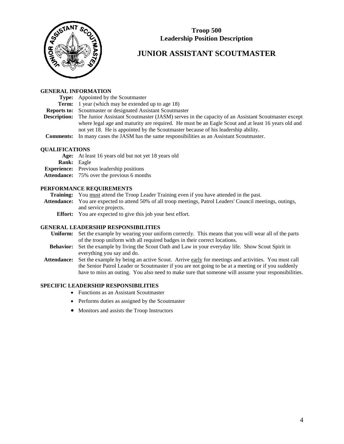

# **JUNIOR ASSISTANT SCOUTMASTER**

#### **GENERAL INFORMATION**

**Type:** Appointed by the Scoutmaster

**Term:** 1 year (which may be extended up to age 18)

**Reports to:** Scoutmaster or designated Assistant Scoutmaster

**Description:** The Junior Assistant Scoutmaster (JASM) serves in the capacity of an Assistant Scoutmaster except where legal age and maturity are required. He must be an Eagle Scout and at least 16 years old and not yet 18. He is appointed by the Scoutmaster because of his leadership ability.

**Comments:** In many cases the JASM has the same responsibilities as an Assistant Scoutmaster.

#### **QUALIFICATIONS**

**Age:** At least 16 years old but not yet 18 years old

**Rank:** Eagle

**Experience:** Previous leadership positions

**Attendance:** 75% over the previous 6 months

#### **PERFORMANCE REQUIREMENTS**

**Training:** You must attend the Troop Leader Training even if you have attended in the past.

**Attendance:** You are expected to attend 50% of all troop meetings, Patrol Leaders' Council meetings, outings, and service projects.

**Effort:** You are expected to give this job your best effort.

#### **GENERAL LEADERSHIP RESPONSIBILITIES**

- **Uniform:** Set the example by wearing your uniform correctly. This means that you will wear all of the parts of the troop uniform with all required badges in their correct locations.
- **Behavior:** Set the example by living the Scout Oath and Law in your everyday life. Show Scout Spirit in everything you say and do.
- **Attendance:** Set the example by being an active Scout. Arrive early for meetings and activities. You must call the Senior Patrol Leader or Scoutmaster if you are not going to be at a meeting or if you suddenly have to miss an outing. You also need to make sure that someone will assume your responsibilities.

- Functions as an Assistant Scoutmaster
- Performs duties as assigned by the Scoutmaster
- Monitors and assists the Troop Instructors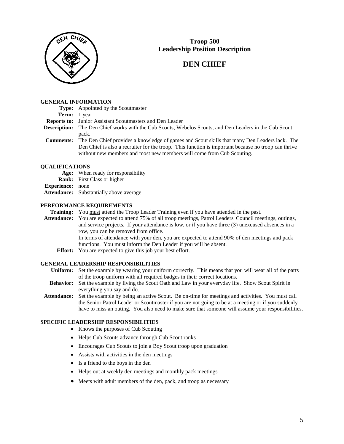

# **DEN CHIEF**

#### **GENERAL INFORMATION**

- **Type:** Appointed by the Scoutmaster
	- **Term:** 1 year
- **Reports to:** Junior Assistant Scoutmasters and Den Leader
- **Description:** The Den Chief works with the Cub Scouts, Webelos Scouts, and Den Leaders in the Cub Scout pack.
- **Comments:** The Den Chief provides a knowledge of games and Scout skills that many Den Leaders lack. The Den Chief is also a recruiter for the troop. This function is important because no troop can thrive without new members and most new members will come from Cub Scouting.

#### **QUALIFICATIONS**

- **Age:** When ready for responsibility
- **Rank:** First Class or higher
- **Experience:** none
- **Attendance:** Substantially above average

#### **PERFORMANCE REQUIREMENTS**

**Training:** You must attend the Troop Leader Training even if you have attended in the past.

- **Attendance:** You are expected to attend 75% of all troop meetings, Patrol Leaders' Council meetings, outings, and service projects. If your attendance is low, or if you have three (3) unexcused absences in a row, you can be removed from office. In terms of attendance with your den, you are expected to attend 90% of den meetings and pack functions. You must inform the Den Leader if you will be absent.
	- **Effort:** You are expected to give this job your best effort.

#### **GENERAL LEADERSHIP RESPONSIBILITIES**

- **Uniform:** Set the example by wearing your uniform correctly. This means that you will wear all of the parts of the troop uniform with all required badges in their correct locations.
- **Behavior:** Set the example by living the Scout Oath and Law in your everyday life. Show Scout Spirit in everything you say and do.
- **Attendance:** Set the example by being an active Scout. Be on-time for meetings and activities. You must call the Senior Patrol Leader or Scoutmaster if you are not going to be at a meeting or if you suddenly have to miss an outing. You also need to make sure that someone will assume your responsibilities.

- Knows the purposes of Cub Scouting
- Helps Cub Scouts advance through Cub Scout ranks
- Encourages Cub Scouts to join a Boy Scout troop upon graduation
- Assists with activities in the den meetings
- Is a friend to the boys in the den
- Helps out at weekly den meetings and monthly pack meetings
- Meets with adult members of the den, pack, and troop as necessary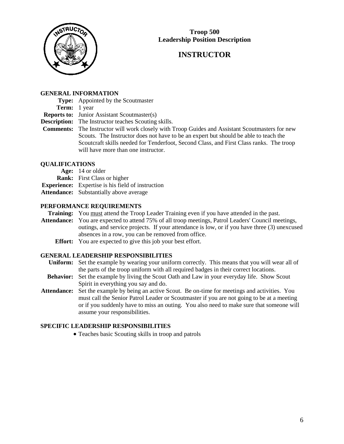

# **INSTRUCTOR**

## **GENERAL INFORMATION**

**Type:** Appointed by the Scoutmaster

#### **Term:** 1 year

**Reports to:** Junior Assistant Scoutmaster(s)

- **Description:** The Instructor teaches Scouting skills.
- **Comments:** The Instructor will work closely with Troop Guides and Assistant Scoutmasters for new Scouts. The Instructor does not have to be an expert but should be able to teach the Scoutcraft skills needed for Tenderfoot, Second Class, and First Class ranks. The troop will have more than one instructor.

# **QUALIFICATIONS**

- **Age:** 14 or older
- **Rank:** First Class or higher
- **Experience:** Expertise is his field of instruction
- **Attendance:** Substantially above average

# **PERFORMANCE REQUIREMENTS**

- **Training:** You must attend the Troop Leader Training even if you have attended in the past.
- **Attendance:** You are expected to attend 75% of all troop meetings, Patrol Leaders' Council meetings, outings, and service projects. If your attendance is low, or if you have three (3) unexcused absences in a row, you can be removed from office.
	- **Effort:** You are expected to give this job your best effort.

# **GENERAL LEADERSHIP RESPONSIBILITIES**

- **Uniform:** Set the example by wearing your uniform correctly. This means that you will wear all of the parts of the troop uniform with all required badges in their correct locations.
- **Behavior:** Set the example by living the Scout Oath and Law in your everyday life. Show Scout Spirit in everything you say and do.
- Attendance: Set the example by being an active Scout. Be on-time for meetings and activities. You must call the Senior Patrol Leader or Scoutmaster if you are not going to be at a meeting or if you suddenly have to miss an outing. You also need to make sure that someone will assume your responsibilities.

# **SPECIFIC LEADERSHIP RESPONSIBILITIES**

Teaches basic Scouting skills in troop and patrols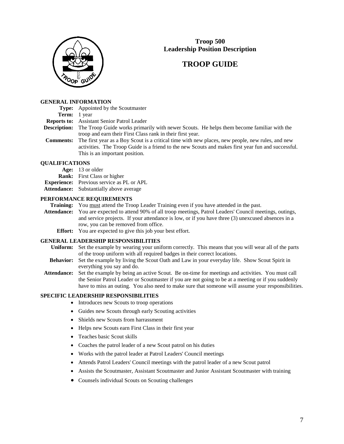

# **TROOP GUIDE**

#### **GENERAL INFORMATION**

**Type:** Appointed by the Scoutmaster

**Term:** 1 year

**Reports to:** Assistant Senior Patrol Leader

**Description:** The Troop Guide works primarily with newer Scouts. He helps them become familiar with the troop and earn their First Class rank in their first year.

**Comments:** The first year as a Boy Scout is a critical time with new places, new people, new rules, and new activities. The Troop Guide is a friend to the new Scouts and makes first year fun and successful. This is an important position.

#### **QUALIFICATIONS**

- Age: 13 or older
- **Rank:** First Class or higher
- **Experience:** Previous service as PL or APL
- **Attendance:** Substantially above average

#### **PERFORMANCE REQUIREMENTS**

**Training:** You must attend the Troop Leader Training even if you have attended in the past.

**Attendance:** You are expected to attend 90% of all troop meetings, Patrol Leaders' Council meetings, outings, and service projects. If your attendance is low, or if you have three (3) unexcused absences in a row, you can be removed from office.

**Effort:** You are expected to give this job your best effort.

#### **GENERAL LEADERSHIP RESPONSIBILITIES**

- **Uniform:** Set the example by wearing your uniform correctly. This means that you will wear all of the parts of the troop uniform with all required badges in their correct locations.
- **Behavior:** Set the example by living the Scout Oath and Law in your everyday life. Show Scout Spirit in everything you say and do.
- **Attendance:** Set the example by being an active Scout. Be on-time for meetings and activities. You must call the Senior Patrol Leader or Scoutmaster if you are not going to be at a meeting or if you suddenly have to miss an outing. You also need to make sure that someone will assume your responsibilities.

- Introduces new Scouts to troop operations
- Guides new Scouts through early Scouting activities
- Shields new Scouts from harrassment
- Helps new Scouts earn First Class in their first year
- Teaches basic Scout skills
- Coaches the patrol leader of a new Scout patrol on his duties
- Works with the patrol leader at Patrol Leaders' Council meetings
- Attends Patrol Leaders' Council meetings with the patrol leader of a new Scout patrol
- Assists the Scoutmaster, Assistant Scoutmaster and Junior Assistant Scoutmaster with training
- Counsels individual Scouts on Scouting challenges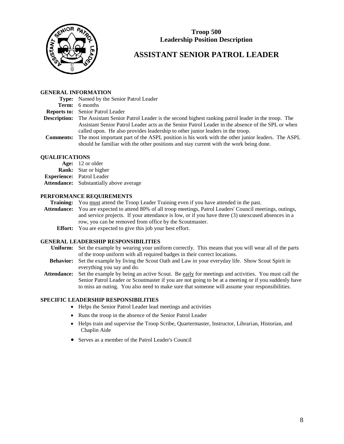

# **ASSISTANT SENIOR PATROL LEADER**

#### **GENERAL INFORMATION**

- **Type:** Named by the Senior Patrol Leader
- **Term:** 6 months

**Reports to:** Senior Patrol Leader

- **Description:** The Assistant Senior Patrol Leader is the second highest ranking patrol leader in the troop. The Assistant Senior Patrol Leader acts as the Senior Patrol Leader in the absence of the SPL or when called upon. He also provides leadership to other junior leaders in the troop.
- **Comments:** The most important part of the ASPL position is his work with the other junior leaders. The ASPL should be familiar with the other positions and stay current with the work being done.

#### **QUALIFICATIONS**

| Age: 12 or older                               |
|------------------------------------------------|
| <b>Rank:</b> Star or higher                    |
| <b>Experience:</b> Patrol Leader               |
| <b>Attendance:</b> Substantially above average |

#### **PERFORMANCE REQUIREMENTS**

**Training:** You must attend the Troop Leader Training even if you have attended in the past.

**Attendance:** You are expected to attend 80% of all troop meetings, Patrol Leaders' Council meetings, outings, and service projects. If your attendance is low, or if you have three (3) unexcused absences in a row, you can be removed from office by the Scoutmaster.

**Effort:** You are expected to give this job your best effort.

#### **GENERAL LEADERSHIP RESPONSIBILITIES**

- **Uniform:** Set the example by wearing your uniform correctly. This means that you will wear all of the parts of the troop uniform with all required badges in their correct locations.
- **Behavior:** Set the example by living the Scout Oath and Law in your everyday life. Show Scout Spirit in everything you say and do.
- **Attendance:** Set the example by being an active Scout. Be early for meetings and activities. You must call the Senior Patrol Leader or Scoutmaster if you are not going to be at a meeting or if you suddenly have to miss an outing. You also need to make sure that someone will assume your responsibilities.

- Helps the Senior Patrol Leader lead meetings and activities
- Runs the troop in the absence of the Senior Patrol Leader
- Helps train and supervise the Troop Scribe, Quartermaster, Instructor, Librarian, Historian, and Chaplin Aide
- Serves as a member of the Patrol Leader's Council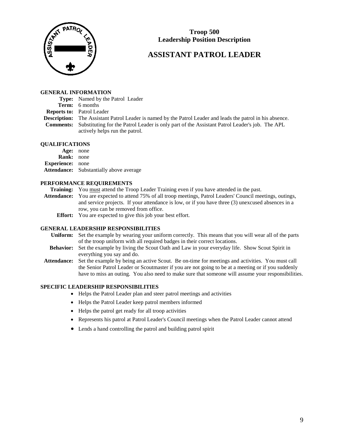

# **ASSISTANT PATROL LEADER**

#### **GENERAL INFORMATION**

**Type:** Named by the Patrol Leader **Term:** 6 months **Reports to:** Patrol Leader **Description:** The Assistant Patrol Leader is named by the Patrol Leader and leads the patrol in his absence. **Comments:** Substituting for the Patrol Leader is only part of the Assistant Patrol Leader's job. The APL actively helps run the patrol.

#### **QUALIFICATIONS**

| Age: none               |                                                |
|-------------------------|------------------------------------------------|
| <b>Rank:</b> none       |                                                |
| <b>Experience:</b> none |                                                |
|                         | <b>Attendance:</b> Substantially above average |

#### **PERFORMANCE REQUIREMENTS**

**Training:** You must attend the Troop Leader Training even if you have attended in the past.

- **Attendance:** You are expected to attend 75% of all troop meetings, Patrol Leaders' Council meetings, outings, and service projects. If your attendance is low, or if you have three (3) unexcused absences in a row, you can be removed from office.
	- **Effort:** You are expected to give this job your best effort.

#### **GENERAL LEADERSHIP RESPONSIBILITIES**

- **Uniform:** Set the example by wearing your uniform correctly. This means that you will wear all of the parts of the troop uniform with all required badges in their correct locations.
- **Behavior:** Set the example by living the Scout Oath and Law in your everyday life. Show Scout Spirit in everything you say and do.
- **Attendance:** Set the example by being an active Scout. Be on-time for meetings and activities. You must call the Senior Patrol Leader or Scoutmaster if you are not going to be at a meeting or if you suddenly have to miss an outing. You also need to make sure that someone will assume your responsibilities.

- Helps the Patrol Leader plan and steer patrol meetings and activities
- Helps the Patrol Leader keep patrol members informed
- Helps the patrol get ready for all troop activities
- Represents his patrol at Patrol Leader's Council meetings when the Patrol Leader cannot attend
- Lends a hand controlling the patrol and building patrol spirit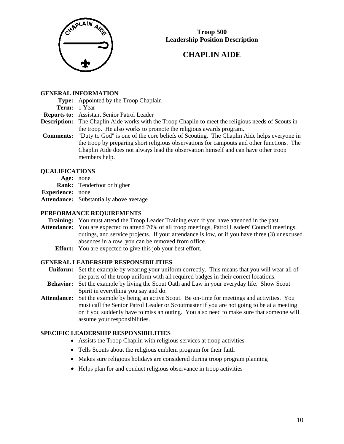

# **CHAPLIN AIDE**

# **GENERAL INFORMATION**

**Type:** Appointed by the Troop Chaplain

## **Term:** 1 Year

**Reports to:** Assistant Senior Patrol Leader

**Description:** The Chaplin Aide works with the Troop Chaplin to meet the religious needs of Scouts in the troop. He also works to promote the religious awards program.

**Comments:** "Duty to God" is one of the core beliefs of Scouting. The Chaplin Aide helps everyone in the troop by preparing short religious observations for campouts and other functions. The Chaplin Aide does not always lead the observation himself and can have other troop members help.

# **QUALIFICATIONS**

- **Age:** none
- **Rank:** Tenderfoot or higher
- **Experience:** none
- **Attendance:** Substantially above average

# **PERFORMANCE REQUIREMENTS**

**Training:** You must attend the Troop Leader Training even if you have attended in the past.

- **Attendance:** You are expected to attend 70% of all troop meetings, Patrol Leaders' Council meetings, outings, and service projects. If your attendance is low, or if you have three (3) unexcused absences in a row, you can be removed from office.
	- **Effort:** You are expected to give this job your best effort.

# **GENERAL LEADERSHIP RESPONSIBILITIES**

**Uniform:** Set the example by wearing your uniform correctly. This means that you will wear all of the parts of the troop uniform with all required badges in their correct locations.

- **Behavior:** Set the example by living the Scout Oath and Law in your everyday life. Show Scout Spirit in everything you say and do.
- **Attendance:** Set the example by being an active Scout. Be on-time for meetings and activities. You must call the Senior Patrol Leader or Scoutmaster if you are not going to be at a meeting or if you suddenly have to miss an outing. You also need to make sure that someone will assume your responsibilities.

- Assists the Troop Chaplin with religious services at troop activities
- Tells Scouts about the religious emblem program for their faith
- Makes sure religious holidays are considered during troop program planning
- Helps plan for and conduct religious observance in troop activities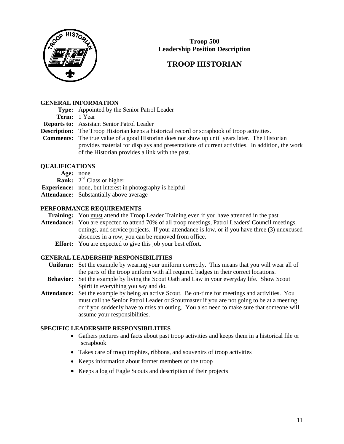

# **TROOP HISTORIAN**

## **GENERAL INFORMATION**

|  |  | Type: Appointed by the Senior Patrol Leader |
|--|--|---------------------------------------------|
|--|--|---------------------------------------------|

**Term:** 1 Year

**Reports to:** Assistant Senior Patrol Leader

- **Description:** The Troop Historian keeps a historical record or scrapbook of troop activities.
- **Comments:** The true value of a good Historian does not show up until years later. The Historian provides material for displays and presentations of current activities. In addition, the work of the Historian provides a link with the past.

# **QUALIFICATIONS**

- **Age:** none
- **Rank:**  $2^{nd}$  Class or higher
- **Experience:** none, but interest in photography is helpful
- **Attendance:** Substantially above average

# **PERFORMANCE REQUIREMENTS**

- **Training:** You must attend the Troop Leader Training even if you have attended in the past.
- **Attendance:** You are expected to attend 70% of all troop meetings, Patrol Leaders' Council meetings, outings, and service projects. If your attendance is low, or if you have three (3) unexcused absences in a row, you can be removed from office.
	- **Effort:** You are expected to give this job your best effort.

## **GENERAL LEADERSHIP RESPONSIBILITIES**

- **Uniform:** Set the example by wearing your uniform correctly. This means that you will wear all of the parts of the troop uniform with all required badges in their correct locations.
- **Behavior:** Set the example by living the Scout Oath and Law in your everyday life. Show Scout Spirit in everything you say and do.
- **Attendance:** Set the example by being an active Scout. Be on-time for meetings and activities. You must call the Senior Patrol Leader or Scoutmaster if you are not going to be at a meeting or if you suddenly have to miss an outing. You also need to make sure that someone will assume your responsibilities.

- Gathers pictures and facts about past troop activities and keeps them in a historical file or scrapbook
- Takes care of troop trophies, ribbons, and souvenirs of troop activities
- Keeps information about former members of the troop
- Keeps a log of Eagle Scouts and description of their projects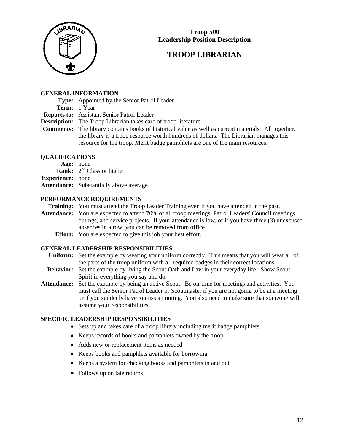

# **TROOP LIBRARIAN**

## **GENERAL INFORMATION**

**Type:** Appointed by the Senior Patrol Leader

#### **Term:** 1 Year

**Reports to:** Assistant Senior Patrol Leader

**Description:** The Troop Librarian takes care of troop literature.

**Comments:** The library contains books of historical value as well as current materials. All together, the library is a troop resource worth hundreds of dollars. The Librarian manages this resource for the troop. Merit badge pamphlets are one of the main resources.

# **QUALIFICATIONS**

| Age: none               |                                                |
|-------------------------|------------------------------------------------|
|                         | <b>Rank:</b> $2^{nd}$ Class or higher          |
| <b>Experience:</b> none |                                                |
|                         | <b>Attendance:</b> Substantially above average |

# **PERFORMANCE REQUIREMENTS**

**Training:** You must attend the Troop Leader Training even if you have attended in the past.

- **Attendance:** You are expected to attend 70% of all troop meetings, Patrol Leaders' Council meetings, outings, and service projects. If your attendance is low, or if you have three (3) unexcused absences in a row, you can be removed from office.
	- **Effort:** You are expected to give this job your best effort.

# **GENERAL LEADERSHIP RESPONSIBILITIES**

- **Uniform:** Set the example by wearing your uniform correctly. This means that you will wear all of the parts of the troop uniform with all required badges in their correct locations.
- **Behavior:** Set the example by living the Scout Oath and Law in your everyday life. Show Scout Spirit in everything you say and do.
- **Attendance:** Set the example by being an active Scout. Be on-time for meetings and activities. You must call the Senior Patrol Leader or Scoutmaster if you are not going to be at a meeting or if you suddenly have to miss an outing. You also need to make sure that someone will assume your responsibilities.

- Sets up and takes care of a troop library including merit badge pamphlets
- Keeps records of books and pamphlets owned by the troop
- Adds new or replacement items as needed
- Keeps books and pamphlets available for borrowing
- Keeps a system for checking books and pamphlets in and out
- Follows up on late returns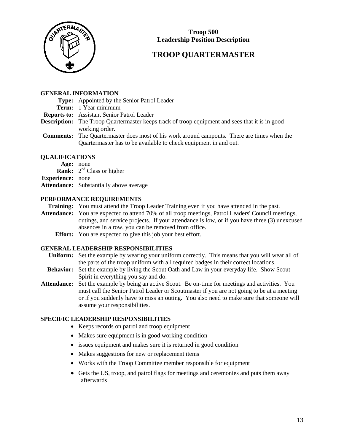

# **TROOP QUARTERMASTER**

# **GENERAL INFORMATION**

- **Type:** Appointed by the Senior Patrol Leader
- **Term:** 1 Year minimum
- **Reports to:** Assistant Senior Patrol Leader
- **Description:** The Troop Quartermaster keeps track of troop equipment and sees that it is in good working order.
- **Comments:** The Quartermaster does most of his work around campouts. There are times when the Quartermaster has to be available to check equipment in and out.

# **QUALIFICATIONS**

**Age:** none **Rank:**  $2^{nd}$  Class or higher **Experience:** none **Attendance:** Substantially above average

# **PERFORMANCE REQUIREMENTS**

**Training:** You must attend the Troop Leader Training even if you have attended in the past.

- **Attendance:** You are expected to attend 70% of all troop meetings, Patrol Leaders' Council meetings, outings, and service projects. If your attendance is low, or if you have three (3) unexcused absences in a row, you can be removed from office.
	- **Effort:** You are expected to give this job your best effort.

## **GENERAL LEADERSHIP RESPONSIBILITIES**

- **Uniform:** Set the example by wearing your uniform correctly. This means that you will wear all of the parts of the troop uniform with all required badges in their correct locations.
- **Behavior:** Set the example by living the Scout Oath and Law in your everyday life. Show Scout Spirit in everything you say and do.
- **Attendance:** Set the example by being an active Scout. Be on-time for meetings and activities. You must call the Senior Patrol Leader or Scoutmaster if you are not going to be at a meeting or if you suddenly have to miss an outing. You also need to make sure that someone will assume your responsibilities.

- Keeps records on patrol and troop equipment
- Makes sure equipment is in good working condition
- issues equipment and makes sure it is returned in good condition
- Makes suggestions for new or replacement items
- Works with the Troop Committee member responsible for equipment
- Gets the US, troop, and patrol flags for meetings and ceremonies and puts them away afterwards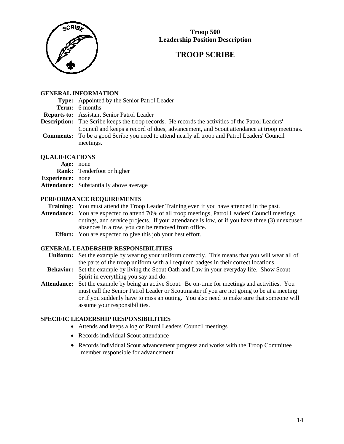

# **TROOP SCRIBE**

## **GENERAL INFORMATION**

**Type:** Appointed by the Senior Patrol Leader

#### **Term:** 6 months

**Reports to:** Assistant Senior Patrol Leader

**Description:** The Scribe keeps the troop records. He records the activities of the Patrol Leaders' Council and keeps a record of dues, advancement, and Scout attendance at troop meetings.

**Comments:** To be a good Scribe you need to attend nearly all troop and Patrol Leaders' Council meetings.

# **QUALIFICATIONS**

**Age:** none **Rank:** Tenderfoot or higher **Experience:** none **Attendance:** Substantially above average

# **PERFORMANCE REQUIREMENTS**

**Training:** You must attend the Troop Leader Training even if you have attended in the past.

- **Attendance:** You are expected to attend 70% of all troop meetings, Patrol Leaders' Council meetings, outings, and service projects. If your attendance is low, or if you have three (3) unexcused absences in a row, you can be removed from office.
	- **Effort:** You are expected to give this job your best effort.

# **GENERAL LEADERSHIP RESPONSIBILITIES**

- **Uniform:** Set the example by wearing your uniform correctly. This means that you will wear all of the parts of the troop uniform with all required badges in their correct locations.
- **Behavior:** Set the example by living the Scout Oath and Law in your everyday life. Show Scout Spirit in everything you say and do.
- **Attendance:** Set the example by being an active Scout. Be on-time for meetings and activities. You must call the Senior Patrol Leader or Scoutmaster if you are not going to be at a meeting or if you suddenly have to miss an outing. You also need to make sure that someone will assume your responsibilities.

- Attends and keeps a log of Patrol Leaders' Council meetings
- Records individual Scout attendance
- Records individual Scout advancement progress and works with the Troop Committee member responsible for advancement